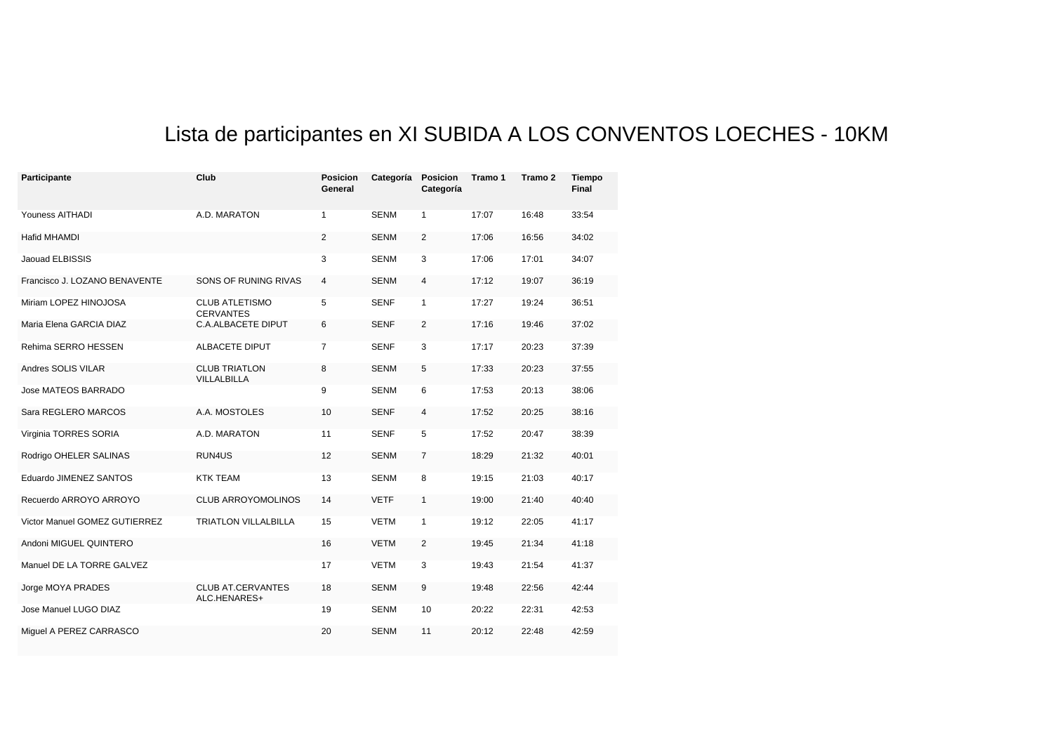## Lista de participantes en XI SUBIDA A LOS CONVENTOS LOECHES - 10KM

| Participante                  | Club                                      | <b>Posicion</b><br>General | Categoría   | <b>Posicion</b><br>Categoría | Tramo 1 | Tramo 2 | <b>Tiempo</b><br>Final |
|-------------------------------|-------------------------------------------|----------------------------|-------------|------------------------------|---------|---------|------------------------|
| Youness AITHADI               | A.D. MARATON                              | $\mathbf{1}$               | <b>SENM</b> | $\mathbf{1}$                 | 17:07   | 16:48   | 33:54                  |
| <b>Hafid MHAMDI</b>           |                                           | $\overline{2}$             | <b>SENM</b> | 2                            | 17:06   | 16:56   | 34:02                  |
| Jaouad ELBISSIS               |                                           | 3                          | <b>SENM</b> | 3                            | 17:06   | 17:01   | 34:07                  |
| Francisco J. LOZANO BENAVENTE | SONS OF RUNING RIVAS                      | $\overline{4}$             | <b>SENM</b> | 4                            | 17:12   | 19:07   | 36:19                  |
| Miriam LOPEZ HINOJOSA         | <b>CLUB ATLETISMO</b><br><b>CERVANTES</b> | 5                          | <b>SENF</b> | $\mathbf{1}$                 | 17:27   | 19:24   | 36:51                  |
| Maria Elena GARCIA DIAZ       | <b>C.A.ALBACETE DIPUT</b>                 | 6                          | <b>SENF</b> | $\overline{2}$               | 17:16   | 19:46   | 37:02                  |
| Rehima SERRO HESSEN           | ALBACETE DIPUT                            | $\overline{7}$             | <b>SENF</b> | 3                            | 17:17   | 20:23   | 37:39                  |
| Andres SOLIS VILAR            | <b>CLUB TRIATLON</b><br>VILLALBILLA       | 8                          | <b>SENM</b> | 5                            | 17:33   | 20:23   | 37:55                  |
| Jose MATEOS BARRADO           |                                           | 9                          | <b>SENM</b> | 6                            | 17:53   | 20:13   | 38:06                  |
| Sara REGLERO MARCOS           | A.A. MOSTOLES                             | 10                         | <b>SENF</b> | 4                            | 17:52   | 20:25   | 38:16                  |
| Virginia TORRES SORIA         | A.D. MARATON                              | 11                         | <b>SENF</b> | 5                            | 17:52   | 20:47   | 38:39                  |
| Rodrigo OHELER SALINAS        | RUN4US                                    | 12                         | <b>SENM</b> | $\overline{7}$               | 18:29   | 21:32   | 40:01                  |
| Eduardo JIMENEZ SANTOS        | <b>KTK TEAM</b>                           | 13                         | <b>SENM</b> | 8                            | 19:15   | 21:03   | 40:17                  |
| Recuerdo ARROYO ARROYO        | <b>CLUB ARROYOMOLINOS</b>                 | 14                         | <b>VETF</b> | $\mathbf{1}$                 | 19:00   | 21:40   | 40:40                  |
| Victor Manuel GOMEZ GUTIERREZ | TRIATLON VILLALBILLA                      | 15                         | <b>VETM</b> | $\mathbf{1}$                 | 19:12   | 22:05   | 41:17                  |
| Andoni MIGUEL QUINTERO        |                                           | 16                         | <b>VETM</b> | 2                            | 19:45   | 21:34   | 41:18                  |
| Manuel DE LA TORRE GALVEZ     |                                           | 17                         | <b>VETM</b> | 3                            | 19:43   | 21:54   | 41:37                  |
| Jorge MOYA PRADES             | <b>CLUB AT CERVANTES</b><br>ALC.HENARES+  | 18                         | <b>SENM</b> | 9                            | 19:48   | 22:56   | 42:44                  |
| Jose Manuel LUGO DIAZ         |                                           | 19                         | <b>SENM</b> | 10                           | 20:22   | 22:31   | 42:53                  |
| Miquel A PEREZ CARRASCO       |                                           | 20                         | <b>SENM</b> | 11                           | 20:12   | 22:48   | 42:59                  |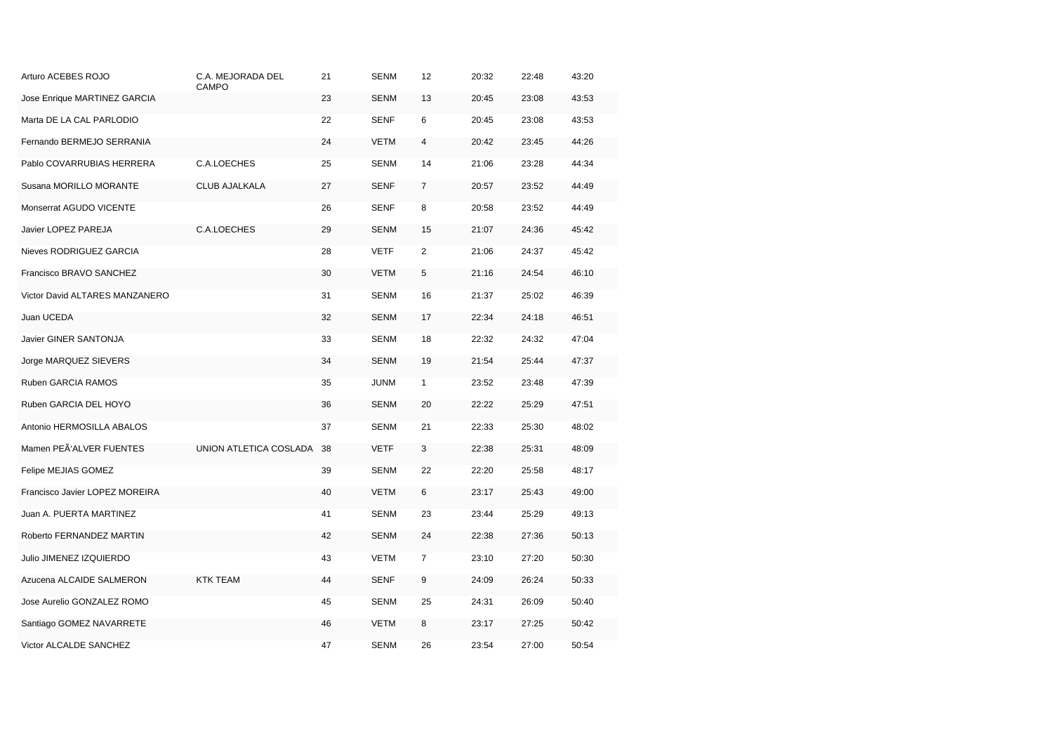| Arturo ACEBES ROJO             | C.A. MEJORADA DEL<br>CAMPO | 21 | <b>SENM</b> | 12           | 20:32 | 22:48 | 43:20 |
|--------------------------------|----------------------------|----|-------------|--------------|-------|-------|-------|
| Jose Enrique MARTINEZ GARCIA   |                            | 23 | <b>SENM</b> | 13           | 20:45 | 23:08 | 43:53 |
| Marta DE LA CAL PARLODIO       |                            | 22 | SENF        | 6            | 20:45 | 23:08 | 43:53 |
| Fernando BERMEJO SERRANIA      |                            | 24 | <b>VETM</b> | 4            | 20:42 | 23:45 | 44:26 |
| Pablo COVARRUBIAS HERRERA      | C.A.LOECHES                | 25 | SENM        | 14           | 21:06 | 23:28 | 44:34 |
| Susana MORILLO MORANTE         | CLUB AJALKALA              | 27 | SENF        | 7            | 20:57 | 23:52 | 44:49 |
| Monserrat AGUDO VICENTE        |                            | 26 | SENF        | 8            | 20:58 | 23:52 | 44:49 |
| Javier LOPEZ PAREJA            | C.A.LOECHES                | 29 | <b>SENM</b> | 15           | 21:07 | 24:36 | 45:42 |
| Nieves RODRIGUEZ GARCIA        |                            | 28 | <b>VETF</b> | 2            | 21:06 | 24:37 | 45:42 |
| Francisco BRAVO SANCHEZ        |                            | 30 | <b>VETM</b> | 5            | 21:16 | 24:54 | 46:10 |
| Victor David ALTARES MANZANERO |                            | 31 | SENM        | 16           | 21:37 | 25:02 | 46:39 |
| Juan UCEDA                     |                            | 32 | <b>SENM</b> | 17           | 22:34 | 24:18 | 46:51 |
| Javier GINER SANTONJA          |                            | 33 | <b>SENM</b> | 18           | 22:32 | 24:32 | 47:04 |
| Jorge MARQUEZ SIEVERS          |                            | 34 | <b>SENM</b> | 19           | 21:54 | 25:44 | 47:37 |
| Ruben GARCIA RAMOS             |                            | 35 | <b>JUNM</b> | $\mathbf{1}$ | 23:52 | 23:48 | 47:39 |
| Ruben GARCIA DEL HOYO          |                            | 36 | <b>SENM</b> | 20           | 22:22 | 25:29 | 47:51 |
| Antonio HERMOSILLA ABALOS      |                            | 37 | SENM        | 21           | 22:33 | 25:30 | 48:02 |
| Mamen PEÃ'ALVER FUENTES        | UNION ATLETICA COSLADA     | 38 | VETF        | 3            | 22:38 | 25:31 | 48:09 |
| Felipe MEJIAS GOMEZ            |                            | 39 | <b>SENM</b> | 22           | 22:20 | 25:58 | 48:17 |
| Francisco Javier LOPEZ MOREIRA |                            | 40 | <b>VETM</b> | 6            | 23:17 | 25:43 | 49:00 |
| Juan A. PUERTA MARTINEZ        |                            | 41 | <b>SENM</b> | 23           | 23:44 | 25:29 | 49:13 |
| Roberto FERNANDEZ MARTIN       |                            | 42 | <b>SENM</b> | 24           | 22:38 | 27:36 | 50:13 |
| Julio JIMENEZ IZQUIERDO        |                            | 43 | <b>VETM</b> | 7            | 23:10 | 27:20 | 50:30 |
| Azucena ALCAIDE SALMERON       | <b>KTK TEAM</b>            | 44 | <b>SENF</b> | 9            | 24:09 | 26:24 | 50:33 |
| Jose Aurelio GONZALEZ ROMO     |                            | 45 | <b>SENM</b> | 25           | 24:31 | 26:09 | 50:40 |
| Santiago GOMEZ NAVARRETE       |                            | 46 | <b>VETM</b> | 8            | 23:17 | 27:25 | 50:42 |
| Victor ALCALDE SANCHEZ         |                            | 47 | <b>SENM</b> | 26           | 23:54 | 27:00 | 50:54 |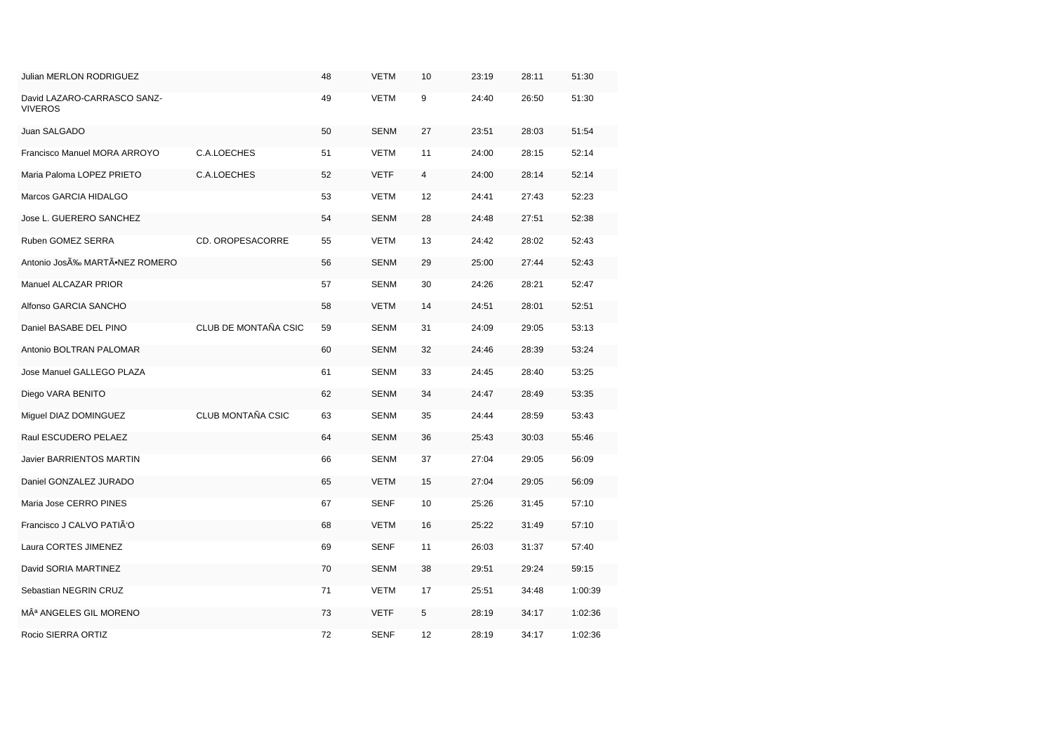| Julian MERLON RODRIGUEZ                |                      | 48 | <b>VETM</b> | 10 | 23:19 | 28:11 | 51:30   |
|----------------------------------------|----------------------|----|-------------|----|-------|-------|---------|
| David LAZARO-CARRASCO SANZ-<br>VIVEROS |                      | 49 | <b>VETM</b> | 9  | 24:40 | 26:50 | 51:30   |
| Juan SALGADO                           |                      | 50 | <b>SENM</b> | 27 | 23:51 | 28:03 | 51:54   |
| Francisco Manuel MORA ARROYO           | C.A.LOECHES          | 51 | <b>VETM</b> | 11 | 24:00 | 28:15 | 52:14   |
| Maria Paloma LOPEZ PRIETO              | C.A.LOECHES          | 52 | <b>VETF</b> | 4  | 24:00 | 28:14 | 52:14   |
| Marcos GARCIA HIDALGO                  |                      | 53 | <b>VETM</b> | 12 | 24:41 | 27:43 | 52:23   |
| Jose L. GUERERO SANCHEZ                |                      | 54 | <b>SENM</b> | 28 | 24:48 | 27:51 | 52:38   |
| Ruben GOMEZ SERRA                      | CD. OROPESACORRE     | 55 | <b>VETM</b> | 13 | 24:42 | 28:02 | 52:43   |
| Antonio JosÉ MARTÃ∙NEZ ROMERO          |                      | 56 | SENM        | 29 | 25:00 | 27:44 | 52:43   |
| Manuel ALCAZAR PRIOR                   |                      | 57 | SENM        | 30 | 24:26 | 28:21 | 52:47   |
| Alfonso GARCIA SANCHO                  |                      | 58 | <b>VETM</b> | 14 | 24:51 | 28:01 | 52:51   |
| Daniel BASABE DEL PINO                 | CLUB DE MONTAÑA CSIC | 59 | <b>SENM</b> | 31 | 24:09 | 29:05 | 53:13   |
| Antonio BOLTRAN PALOMAR                |                      | 60 | SENM        | 32 | 24:46 | 28:39 | 53:24   |
| Jose Manuel GALLEGO PLAZA              |                      | 61 | <b>SENM</b> | 33 | 24:45 | 28:40 | 53:25   |
| Diego VARA BENITO                      |                      | 62 | SENM        | 34 | 24:47 | 28:49 | 53:35   |
| Miguel DIAZ DOMINGUEZ                  | CLUB MONTAÑA CSIC    | 63 | SENM        | 35 | 24:44 | 28:59 | 53:43   |
| Raul ESCUDERO PELAEZ                   |                      | 64 | SENM        | 36 | 25:43 | 30:03 | 55:46   |
| Javier BARRIENTOS MARTIN               |                      | 66 | <b>SENM</b> | 37 | 27:04 | 29:05 | 56:09   |
| Daniel GONZALEZ JURADO                 |                      | 65 | <b>VETM</b> | 15 | 27:04 | 29:05 | 56:09   |
| Maria Jose CERRO PINES                 |                      | 67 | <b>SENF</b> | 10 | 25:26 | 31:45 | 57:10   |
| Francisco J CALVO PATIÃ'O              |                      | 68 | <b>VETM</b> | 16 | 25:22 | 31:49 | 57:10   |
| Laura CORTES JIMENEZ                   |                      | 69 | <b>SENF</b> | 11 | 26:03 | 31:37 | 57:40   |
| David SORIA MARTINEZ                   |                      | 70 | <b>SENM</b> | 38 | 29:51 | 29:24 | 59:15   |
| Sebastian NEGRIN CRUZ                  |                      | 71 | <b>VETM</b> | 17 | 25:51 | 34:48 | 1:00:39 |
| Mª ANGELES GIL MORENO                  |                      | 73 | <b>VETF</b> | 5  | 28:19 | 34:17 | 1:02:36 |
| Rocio SIERRA ORTIZ                     |                      | 72 | <b>SENF</b> | 12 | 28:19 | 34:17 | 1:02:36 |